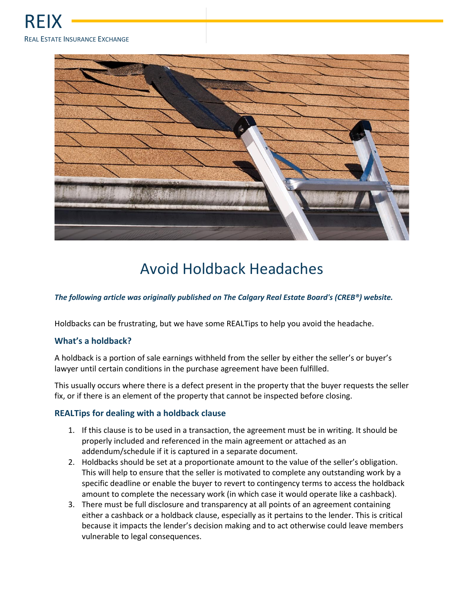

## Avoid Holdback Headaches

*The following article was originally published on The Calgary Real Estate Board's (CREB®) website.*

Holdbacks can be frustrating, but we have some REALTips to help you avoid the headache.

## **What's a holdback?**

A holdback is a portion of sale earnings withheld from the seller by either the seller's or buyer's lawyer until certain conditions in the purchase agreement have been fulfilled.

This usually occurs where there is a defect present in the property that the buyer requests the seller fix, or if there is an element of the property that cannot be inspected before closing.

## **REALTips for dealing with a holdback clause**

- 1. If this clause is to be used in a transaction, the agreement must be in writing. It should be properly included and referenced in the main agreement or attached as an addendum/schedule if it is captured in a separate document.
- 2. Holdbacks should be set at a proportionate amount to the value of the seller's obligation. This will help to ensure that the seller is motivated to complete any outstanding work by a specific deadline or enable the buyer to revert to contingency terms to access the holdback amount to complete the necessary work (in which case it would operate like a cashback).
- 3. There must be full disclosure and transparency at all points of an agreement containing either a cashback or a holdback clause, especially as it pertains to the lender. This is critical because it impacts the lender's decision making and to act otherwise could leave members vulnerable to legal consequences.